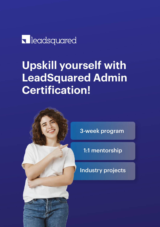# **I**leadsquared

# **Upskill yourself with LeadSquared Admin Certification!**



3-week program

1:1 mentorship

Industry projects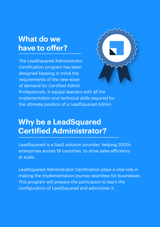### **What do we have to offer?**

The LeadSquared Administrator Certification program has been designed keeping in mind the requirements of the new wave of demand for Certified Admin



Professionals. It equips learners with all the implementation and technical skills required for the ultimate position of a LeadSquared Admin.

### **Why be a LeadSquared Certified Administrator?**

LeadSquared is a SaaS solution provider, helping 2000+ enterprises across 19 countries, to drive sales efficiency at scale.

LeadSquared Administrator Certification plays a vital role in making the implementation journey seamless for businesses. This program will prepare the participant to learn the configuration of LeadSquared and administer it.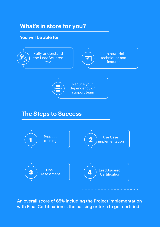### **What's in store for you?**

#### **You will be able to:**



#### **The Steps to Success**



An overall score of 65% including the Project implementation with Final Certification is the passing criteria to get certified.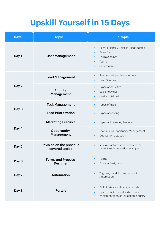## **Upskill Yourself in 15 Days**

| <b>Days</b> | <b>Topic</b>                                | <b>Sub-topic</b>                                                                                                                                |
|-------------|---------------------------------------------|-------------------------------------------------------------------------------------------------------------------------------------------------|
| Day 1       | <b>User Management</b>                      | User Personas / Roles in LeadSquared<br>$\bullet$<br>Sales Group<br>Permission Set<br>Teams<br>$\bullet$<br><b>Smart Views</b>                  |
| Day 2       | <b>Lead Management</b>                      | Features in Lead Management<br>$\bullet$<br><b>Lead Sources</b><br>$\bullet$                                                                    |
|             | <b>Activity</b><br>Management               | <b>Types of Activities</b><br>$\bullet$<br><b>Sales Activities</b><br><b>Custom Fieldset</b><br>$\bullet$                                       |
| Day 3       | <b>Task Management</b>                      | Types of tasks<br>$\bullet$                                                                                                                     |
|             | <b>Lead Prioritization</b>                  | Types of scoring<br>$\bullet$                                                                                                                   |
| Day 4       | <b>Marketing Features</b>                   | Types of Marketing Features                                                                                                                     |
|             | Opportunity<br>Management                   | Features in Opportunity Management<br>$\bullet$<br>Duplication detection<br>$\bullet$                                                           |
| Day 5       | Revision on the previous<br>covered topics  | Revision of topics learned, with the<br>$\bullet$<br>project implementation example                                                             |
| Day 6       | <b>Forms and Process</b><br><b>Designer</b> | Forms<br>Process Designers                                                                                                                      |
| Day 7       | <b>Automation</b>                           | Triggers, condition and action in<br>Automation                                                                                                 |
| Day 8       | <b>Portals</b>                              | <b>Build Portals and Manage portals</b><br>$\bullet$<br>Learn to build portal with project<br>$\bullet$<br>implementation of Education industry |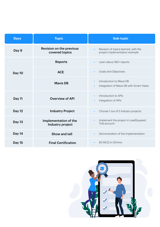| <b>Days</b>   | <b>Topic</b>                                      | <b>Sub-topic</b>                                                                               |
|---------------|---------------------------------------------------|------------------------------------------------------------------------------------------------|
| Day 9         | <b>Revision on the previous</b><br>covered topics | Revision of topics learned, with the<br>$\bullet$<br>project implementation example            |
| Day 10        | <b>Reports</b>                                    | Learn about 180+ reports<br>$\bullet$                                                          |
|               | <b>ACE</b>                                        | Goals and Objectives<br>$\bullet$                                                              |
|               | <b>Mavis DB</b>                                   | Introduction to Mavis DB<br>$\bullet$<br>Integration of Mavis DB with Smart Views<br>$\bullet$ |
| Day 11        | <b>Overview of API</b>                            | Introduction to APIs<br>$\bullet$<br>Integration of APIs<br>$\bullet$                          |
| <b>Day 12</b> | <b>Industry Project</b>                           | Choose 1 out of 5 Industry projects<br>$\bullet$                                               |
| <b>Day 13</b> | Implementation of the<br>Industry project         | Implement the project in LeadSquared<br>$\bullet$<br>Trial account                             |
| Day 14        | Show and tell                                     | Demonstration of the Implementation<br>$\bullet$                                               |
| <b>Day 15</b> | <b>Final Certification</b>                        | 60 MCQ in 50mins<br>$\bullet$                                                                  |

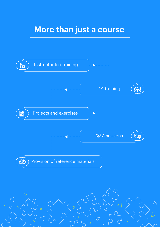### **More than just a course**